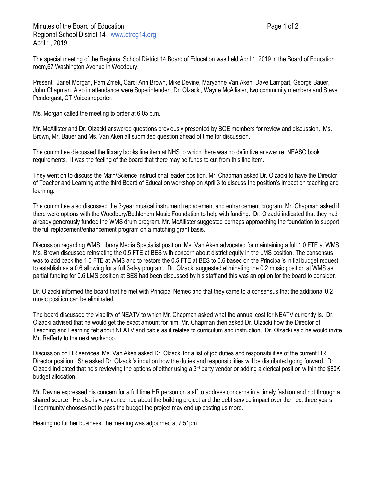The special meeting of the Regional School District 14 Board of Education was held April 1, 2019 in the Board of Education room,67 Washington Avenue in Woodbury.

Present: Janet Morgan, Pam Zmek, Carol Ann Brown, Mike Devine, Maryanne Van Aken, Dave Lampart, George Bauer, John Chapman. Also in attendance were Superintendent Dr. Olzacki, Wayne McAllister, two community members and Steve Pendergast, CT Voices reporter.

Ms. Morgan called the meeting to order at 6:05 p.m.

Mr. McAllister and Dr. Olzacki answered questions previously presented by BOE members for review and discussion. Ms. Brown, Mr. Bauer and Ms. Van Aken all submitted question ahead of time for discussion.

The committee discussed the library books line item at NHS to which there was no definitive answer re: NEASC book requirements. It was the feeling of the board that there may be funds to cut from this line item.

They went on to discuss the Math/Science instructional leader position. Mr. Chapman asked Dr. Olzacki to have the Director of Teacher and Learning at the third Board of Education workshop on April 3 to discuss the position's impact on teaching and learning.

The committee also discussed the 3-year musical instrument replacement and enhancement program. Mr. Chapman asked if there were options with the Woodbury/Bethlehem Music Foundation to help with funding. Dr. Olzacki indicated that they had already generously funded the WMS drum program. Mr. McAllister suggested perhaps approaching the foundation to support the full replacement/enhancement program on a matching grant basis.

Discussion regarding WMS Library Media Specialist position. Ms. Van Aken advocated for maintaining a full 1.0 FTE at WMS. Ms. Brown discussed reinstating the 0.5 FTE at BES with concern about district equity in the LMS position. The consensus was to add back the 1.0 FTE at WMS and to restore the 0.5 FTE at BES to 0.6 based on the Principal's initial budget request to establish as a 0.6 allowing for a full 3-day program. Dr. Olzacki suggested eliminating the 0.2 music position at WMS as partial funding for 0.6 LMS position at BES had been discussed by his staff and this was an option for the board to consider.

Dr. Olzacki informed the board that he met with Principal Nemec and that they came to a consensus that the additional 0.2 music position can be eliminated.

The board discussed the viability of NEATV to which Mr. Chapman asked what the annual cost for NEATV currently is. Dr. Olzacki advised that he would get the exact amount for him. Mr. Chapman then asked Dr. Olzacki how the Director of Teaching and Learning felt about NEATV and cable as it relates to curriculum and instruction. Dr. Olzacki said he would invite Mr. Rafferty to the next workshop.

Discussion on HR services. Ms. Van Aken asked Dr. Olzacki for a list of job duties and responsibilities of the current HR Director position. She asked Dr. Olzacki's input on how the duties and responsibilities will be distributed going forward. Dr. Olzacki indicated that he's reviewing the options of either using a  $3<sup>rd</sup>$  party vendor or adding a clerical position within the \$80K budget allocation.

Mr. Devine expressed his concern for a full time HR person on staff to address concerns in a timely fashion and not through a shared source. He also is very concerned about the building project and the debt service impact over the next three years. If community chooses not to pass the budget the project may end up costing us more.

Hearing no further business, the meeting was adjourned at 7:51pm